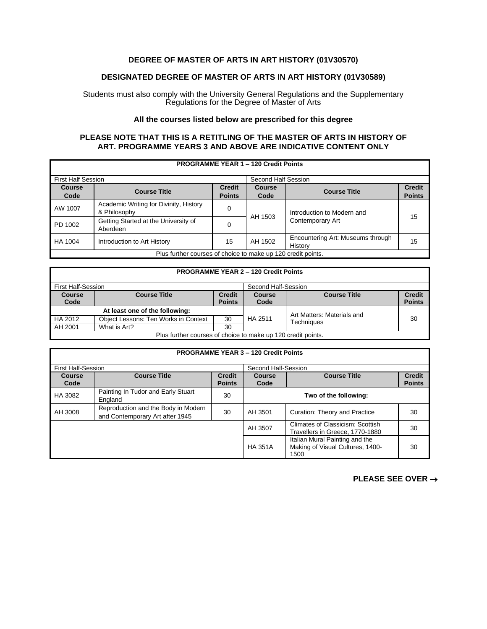## **DEGREE OF MASTER OF ARTS IN ART HISTORY (01V30570)**

## **DESIGNATED DEGREE OF MASTER OF ARTS IN ART HISTORY (01V30589)**

Students must also comply with the University General Regulations and the Supplementary Regulations for the Degree of Master of Arts

## **All the courses listed below are prescribed for this degree**

## **PLEASE NOTE THAT THIS IS A RETITLING OF THE MASTER OF ARTS IN HISTORY OF ART. PROGRAMME YEARS 3 AND ABOVE ARE INDICATIVE CONTENT ONLY**

| <b>PROGRAMME YEAR 1 - 120 Credit Points</b>                  |                                                        |                                |                       |                                              |                                |
|--------------------------------------------------------------|--------------------------------------------------------|--------------------------------|-----------------------|----------------------------------------------|--------------------------------|
| <b>First Half Session</b>                                    |                                                        |                                | Second Half Session   |                                              |                                |
| <b>Course</b><br>Code                                        | <b>Course Title</b>                                    | <b>Credit</b><br><b>Points</b> | <b>Course</b><br>Code | <b>Course Title</b>                          | <b>Credit</b><br><b>Points</b> |
| AW 1007                                                      | Academic Writing for Divinity, History<br>& Philosophy | 0                              | AH 1503               | Introduction to Modern and                   | 15                             |
| PD 1002                                                      | Getting Started at the University of<br>Aberdeen       | 0                              |                       | Contemporary Art                             |                                |
| HA 1004                                                      | Introduction to Art History                            | 15                             | AH 1502               | Encountering Art: Museums through<br>History | 15                             |
| Plus further courses of choice to make up 120 credit points. |                                                        |                                |                       |                                              |                                |

| <b>PROGRAMME YEAR 2 - 120 Credit Points</b>                  |                                      |                                |                |                            |                                |
|--------------------------------------------------------------|--------------------------------------|--------------------------------|----------------|----------------------------|--------------------------------|
| First Half-Session                                           |                                      | Second Half-Session            |                |                            |                                |
| <b>Course</b><br>Code                                        | <b>Course Title</b>                  | <b>Credit</b><br><b>Points</b> | Course<br>Code | <b>Course Title</b>        | <b>Credit</b><br><b>Points</b> |
| At least one of the following:                               |                                      |                                |                | Art Matters: Materials and |                                |
| HA 2012                                                      | Object Lessons: Ten Works in Context | 30                             | HA 2511        | <b>Techniques</b>          | 30                             |
| AH 2001                                                      | What is Art?                         | 30                             |                |                            |                                |
| Plus further courses of choice to make up 120 credit points. |                                      |                                |                |                            |                                |

| <b>PROGRAMME YEAR 3 - 120 Credit Points</b> |                                                                        |                                |                       |                                                                            |                                |  |
|---------------------------------------------|------------------------------------------------------------------------|--------------------------------|-----------------------|----------------------------------------------------------------------------|--------------------------------|--|
| <b>First Half-Session</b>                   |                                                                        |                                | Second Half-Session   |                                                                            |                                |  |
| Course<br>Code                              | <b>Course Title</b>                                                    | <b>Credit</b><br><b>Points</b> | <b>Course</b><br>Code | <b>Course Title</b>                                                        | <b>Credit</b><br><b>Points</b> |  |
| HA 3082                                     | Painting In Tudor and Early Stuart<br>England                          | 30                             |                       | Two of the following:                                                      |                                |  |
| AH 3008                                     | Reproduction and the Body in Modern<br>and Contemporary Art after 1945 | 30                             | AH 3501               | Curation: Theory and Practice                                              | 30                             |  |
|                                             |                                                                        |                                | AH 3507               | Climates of Classicism: Scottish<br>Travellers in Greece, 1770-1880        | 30                             |  |
|                                             |                                                                        |                                | <b>HA 351A</b>        | Italian Mural Painting and the<br>Making of Visual Cultures, 1400-<br>1500 | 30                             |  |

**PLEASE SEE OVER** →